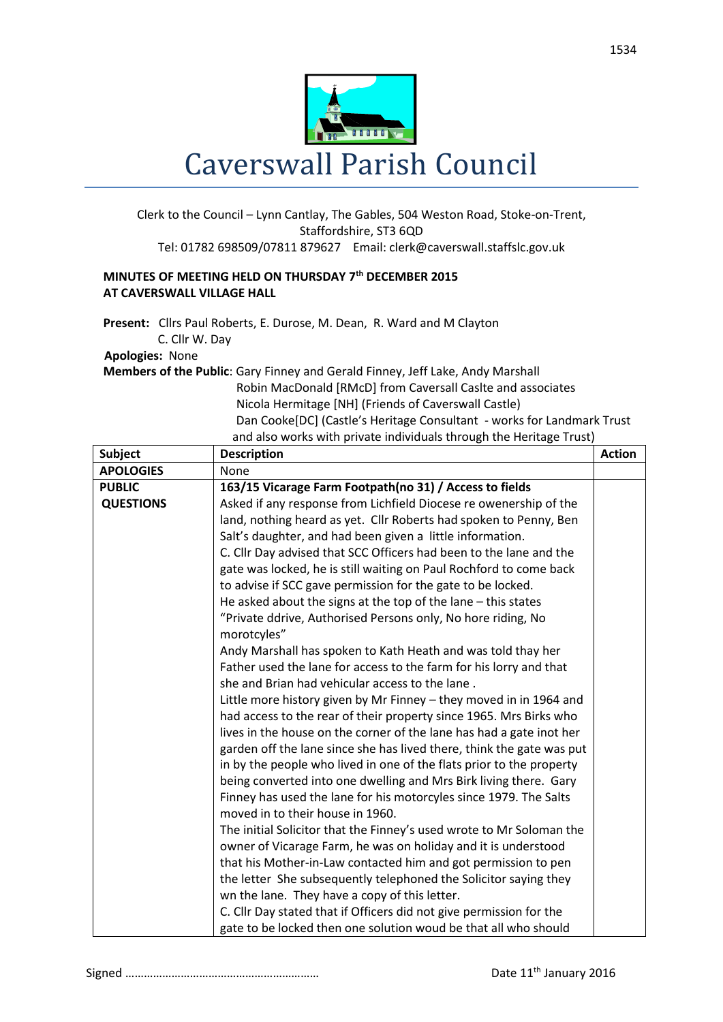

## Clerk to the Council – Lynn Cantlay, The Gables, 504 Weston Road, Stoke-on-Trent, Staffordshire, ST3 6QD Tel: 01782 698509/07811 879627 Email: clerk@caverswall.staffslc.gov.uk

## **MINUTES OF MEETING HELD ON THURSDAY 7 th DECEMBER 2015 AT CAVERSWALL VILLAGE HALL**

**Present:** Cllrs Paul Roberts, E. Durose, M. Dean, R. Ward and M Clayton C. Cllr W. Day

## **Apologies:** None

**Members of the Public**: Gary Finney and Gerald Finney, Jeff Lake, Andy Marshall Robin MacDonald [RMcD] from Caversall Caslte and associates Nicola Hermitage [NH] (Friends of Caverswall Castle) Dan Cooke[DC] (Castle's Heritage Consultant - works for Landmark Trust and also works with private individuals through the Heritage Trust)

| <b>Subject</b>   | so works with private marviagas through the neritage mast<br><b>Description</b> | <b>Action</b> |
|------------------|---------------------------------------------------------------------------------|---------------|
| <b>APOLOGIES</b> | None                                                                            |               |
| <b>PUBLIC</b>    | 163/15 Vicarage Farm Footpath(no 31) / Access to fields                         |               |
| <b>QUESTIONS</b> | Asked if any response from Lichfield Diocese re owenership of the               |               |
|                  | land, nothing heard as yet. Cllr Roberts had spoken to Penny, Ben               |               |
|                  | Salt's daughter, and had been given a little information.                       |               |
|                  | C. Cllr Day advised that SCC Officers had been to the lane and the              |               |
|                  | gate was locked, he is still waiting on Paul Rochford to come back              |               |
|                  | to advise if SCC gave permission for the gate to be locked.                     |               |
|                  | He asked about the signs at the top of the lane $-$ this states                 |               |
|                  | "Private ddrive, Authorised Persons only, No hore riding, No<br>morotcyles"     |               |
|                  | Andy Marshall has spoken to Kath Heath and was told thay her                    |               |
|                  | Father used the lane for access to the farm for his lorry and that              |               |
|                  | she and Brian had vehicular access to the lane.                                 |               |
|                  | Little more history given by Mr Finney - they moved in in 1964 and              |               |
|                  | had access to the rear of their property since 1965. Mrs Birks who              |               |
|                  | lives in the house on the corner of the lane has had a gate inot her            |               |
|                  | garden off the lane since she has lived there, think the gate was put           |               |
|                  | in by the people who lived in one of the flats prior to the property            |               |
|                  | being converted into one dwelling and Mrs Birk living there. Gary               |               |
|                  | Finney has used the lane for his motorcyles since 1979. The Salts               |               |
|                  | moved in to their house in 1960.                                                |               |
|                  | The initial Solicitor that the Finney's used wrote to Mr Soloman the            |               |
|                  | owner of Vicarage Farm, he was on holiday and it is understood                  |               |
|                  | that his Mother-in-Law contacted him and got permission to pen                  |               |
|                  | the letter She subsequently telephoned the Solicitor saying they                |               |
|                  | wn the lane. They have a copy of this letter.                                   |               |
|                  | C. Cllr Day stated that if Officers did not give permission for the             |               |
|                  | gate to be locked then one solution woud be that all who should                 |               |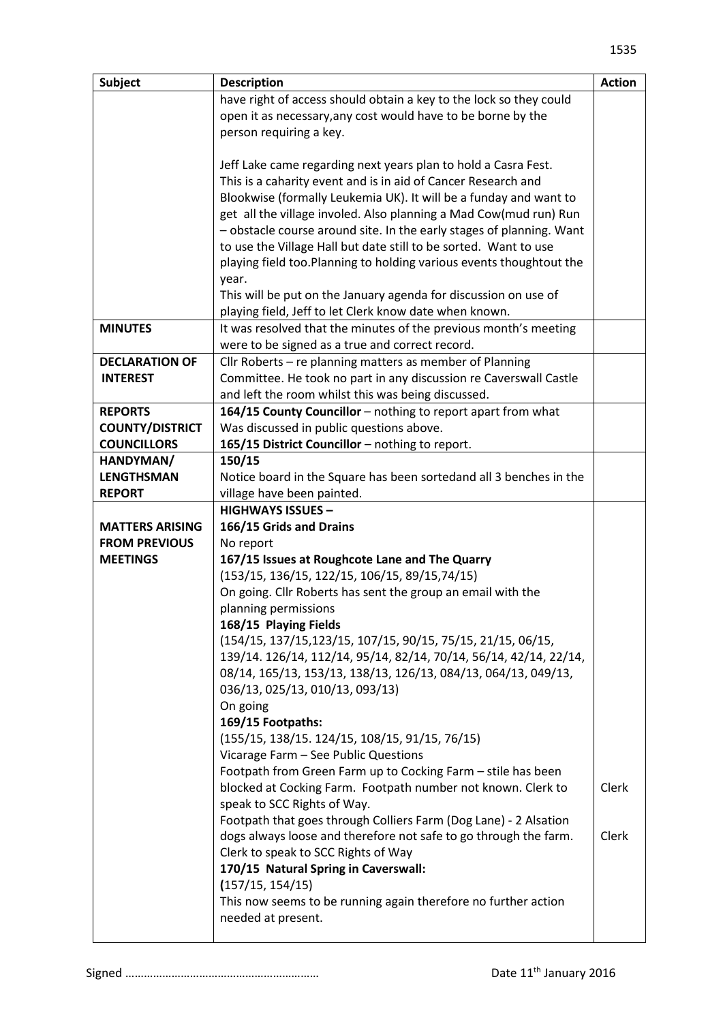| <b>Subject</b>         | <b>Description</b>                                                   | <b>Action</b> |
|------------------------|----------------------------------------------------------------------|---------------|
|                        | have right of access should obtain a key to the lock so they could   |               |
|                        | open it as necessary, any cost would have to be borne by the         |               |
|                        | person requiring a key.                                              |               |
|                        |                                                                      |               |
|                        | Jeff Lake came regarding next years plan to hold a Casra Fest.       |               |
|                        | This is a caharity event and is in aid of Cancer Research and        |               |
|                        | Blookwise (formally Leukemia UK). It will be a funday and want to    |               |
|                        | get all the village involed. Also planning a Mad Cow(mud run) Run    |               |
|                        | - obstacle course around site. In the early stages of planning. Want |               |
|                        | to use the Village Hall but date still to be sorted. Want to use     |               |
|                        | playing field too. Planning to holding various events thoughtout the |               |
|                        | year.                                                                |               |
|                        | This will be put on the January agenda for discussion on use of      |               |
|                        | playing field, Jeff to let Clerk know date when known.               |               |
| <b>MINUTES</b>         | It was resolved that the minutes of the previous month's meeting     |               |
|                        | were to be signed as a true and correct record.                      |               |
| <b>DECLARATION OF</b>  | Cllr Roberts - re planning matters as member of Planning             |               |
| <b>INTEREST</b>        | Committee. He took no part in any discussion re Caverswall Castle    |               |
|                        | and left the room whilst this was being discussed.                   |               |
| <b>REPORTS</b>         | 164/15 County Councillor - nothing to report apart from what         |               |
| <b>COUNTY/DISTRICT</b> | Was discussed in public questions above.                             |               |
| <b>COUNCILLORS</b>     | 165/15 District Councillor - nothing to report.                      |               |
| HANDYMAN/              | 150/15                                                               |               |
| <b>LENGTHSMAN</b>      | Notice board in the Square has been sortedand all 3 benches in the   |               |
| <b>REPORT</b>          | village have been painted.                                           |               |
|                        | <b>HIGHWAYS ISSUES -</b>                                             |               |
| <b>MATTERS ARISING</b> | 166/15 Grids and Drains                                              |               |
| <b>FROM PREVIOUS</b>   | No report                                                            |               |
| <b>MEETINGS</b>        | 167/15 Issues at Roughcote Lane and The Quarry                       |               |
|                        | (153/15, 136/15, 122/15, 106/15, 89/15, 74/15)                       |               |
|                        | On going. Cllr Roberts has sent the group an email with the          |               |
|                        | planning permissions                                                 |               |
|                        | 168/15 Playing Fields                                                |               |
|                        | (154/15, 137/15, 123/15, 107/15, 90/15, 75/15, 21/15, 06/15,         |               |
|                        | 139/14. 126/14, 112/14, 95/14, 82/14, 70/14, 56/14, 42/14, 22/14,    |               |
|                        | 08/14, 165/13, 153/13, 138/13, 126/13, 084/13, 064/13, 049/13,       |               |
|                        | 036/13, 025/13, 010/13, 093/13)                                      |               |
|                        | On going                                                             |               |
|                        | 169/15 Footpaths:                                                    |               |
|                        | (155/15, 138/15. 124/15, 108/15, 91/15, 76/15)                       |               |
|                        | Vicarage Farm - See Public Questions                                 |               |
|                        | Footpath from Green Farm up to Cocking Farm - stile has been         |               |
|                        | blocked at Cocking Farm. Footpath number not known. Clerk to         | Clerk         |
|                        | speak to SCC Rights of Way.                                          |               |
|                        | Footpath that goes through Colliers Farm (Dog Lane) - 2 Alsation     |               |
|                        | dogs always loose and therefore not safe to go through the farm.     | Clerk         |
|                        | Clerk to speak to SCC Rights of Way                                  |               |
|                        | 170/15 Natural Spring in Caverswall:                                 |               |
|                        | (157/15, 154/15)                                                     |               |
|                        | This now seems to be running again therefore no further action       |               |
|                        | needed at present.                                                   |               |
|                        |                                                                      |               |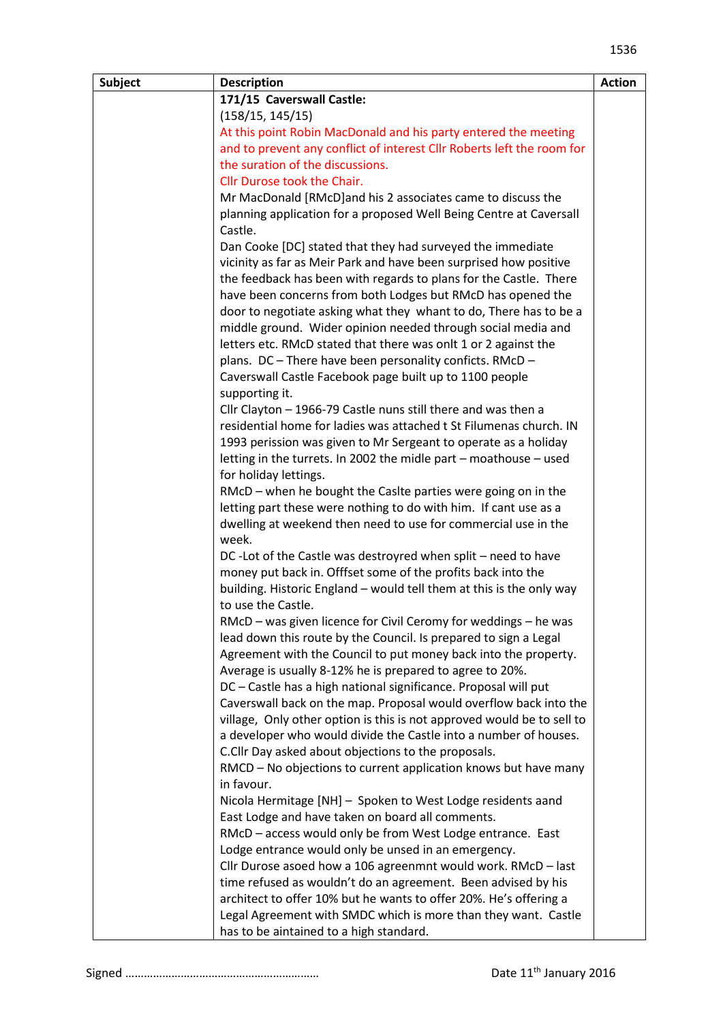| <b>Subject</b> | <b>Description</b>                                                                                                                  | <b>Action</b> |
|----------------|-------------------------------------------------------------------------------------------------------------------------------------|---------------|
|                | 171/15 Caverswall Castle:                                                                                                           |               |
|                | (158/15, 145/15)                                                                                                                    |               |
|                | At this point Robin MacDonald and his party entered the meeting                                                                     |               |
|                | and to prevent any conflict of interest Cllr Roberts left the room for                                                              |               |
|                | the suration of the discussions.                                                                                                    |               |
|                | Cllr Durose took the Chair.                                                                                                         |               |
|                | Mr MacDonald [RMcD] and his 2 associates came to discuss the                                                                        |               |
|                | planning application for a proposed Well Being Centre at Caversall                                                                  |               |
|                | Castle.                                                                                                                             |               |
|                | Dan Cooke [DC] stated that they had surveyed the immediate                                                                          |               |
|                | vicinity as far as Meir Park and have been surprised how positive                                                                   |               |
|                | the feedback has been with regards to plans for the Castle. There                                                                   |               |
|                | have been concerns from both Lodges but RMcD has opened the                                                                         |               |
|                | door to negotiate asking what they whant to do, There has to be a                                                                   |               |
|                | middle ground. Wider opinion needed through social media and                                                                        |               |
|                | letters etc. RMcD stated that there was onlt 1 or 2 against the                                                                     |               |
|                | plans. DC - There have been personality conficts. RMcD -                                                                            |               |
|                | Caverswall Castle Facebook page built up to 1100 people                                                                             |               |
|                | supporting it.                                                                                                                      |               |
|                | Cllr Clayton - 1966-79 Castle nuns still there and was then a<br>residential home for ladies was attached t St Filumenas church. IN |               |
|                | 1993 perission was given to Mr Sergeant to operate as a holiday                                                                     |               |
|                | letting in the turrets. In 2002 the midle part - moathouse - used                                                                   |               |
|                | for holiday lettings.                                                                                                               |               |
|                | RMcD – when he bought the Casite parties were going on in the                                                                       |               |
|                | letting part these were nothing to do with him. If cant use as a                                                                    |               |
|                | dwelling at weekend then need to use for commercial use in the                                                                      |               |
|                | week.                                                                                                                               |               |
|                | DC-Lot of the Castle was destroyred when split – need to have                                                                       |               |
|                | money put back in. Offfset some of the profits back into the                                                                        |               |
|                | building. Historic England - would tell them at this is the only way                                                                |               |
|                | to use the Castle.                                                                                                                  |               |
|                | RMcD - was given licence for Civil Ceromy for weddings - he was                                                                     |               |
|                | lead down this route by the Council. Is prepared to sign a Legal                                                                    |               |
|                | Agreement with the Council to put money back into the property.                                                                     |               |
|                | Average is usually 8-12% he is prepared to agree to 20%.                                                                            |               |
|                | DC - Castle has a high national significance. Proposal will put                                                                     |               |
|                | Caverswall back on the map. Proposal would overflow back into the                                                                   |               |
|                | village, Only other option is this is not approved would be to sell to                                                              |               |
|                | a developer who would divide the Castle into a number of houses.                                                                    |               |
|                | C.Cllr Day asked about objections to the proposals.                                                                                 |               |
|                | RMCD - No objections to current application knows but have many                                                                     |               |
|                | in favour.                                                                                                                          |               |
|                | Nicola Hermitage [NH] - Spoken to West Lodge residents aand                                                                         |               |
|                | East Lodge and have taken on board all comments.                                                                                    |               |
|                | RMcD - access would only be from West Lodge entrance. East                                                                          |               |
|                | Lodge entrance would only be unsed in an emergency.                                                                                 |               |
|                | Cllr Durose asoed how a 106 agreenmnt would work. RMcD - last                                                                       |               |
|                | time refused as wouldn't do an agreement. Been advised by his                                                                       |               |
|                | architect to offer 10% but he wants to offer 20%. He's offering a<br>Legal Agreement with SMDC which is more than they want. Castle |               |
|                | has to be aintained to a high standard.                                                                                             |               |
|                |                                                                                                                                     |               |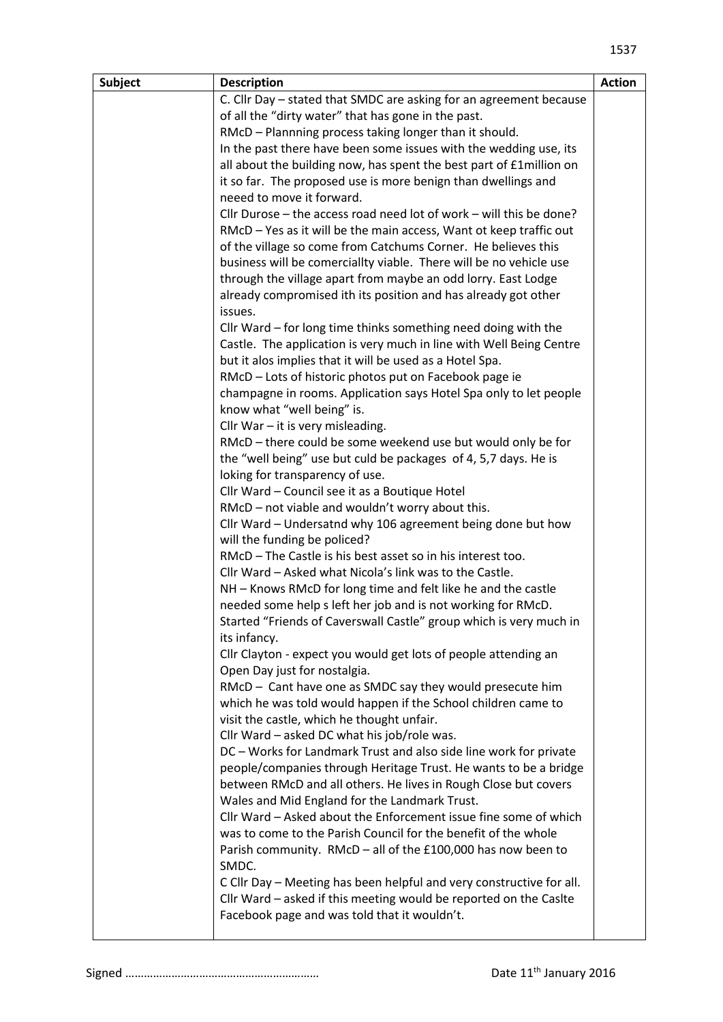| <b>Subject</b> | <b>Description</b>                                                                          | <b>Action</b> |
|----------------|---------------------------------------------------------------------------------------------|---------------|
|                | C. Cllr Day - stated that SMDC are asking for an agreement because                          |               |
|                | of all the "dirty water" that has gone in the past.                                         |               |
|                | RMcD - Plannning process taking longer than it should.                                      |               |
|                | In the past there have been some issues with the wedding use, its                           |               |
|                | all about the building now, has spent the best part of £1million on                         |               |
|                | it so far. The proposed use is more benign than dwellings and                               |               |
|                | neeed to move it forward.                                                                   |               |
|                | Cllr Durose - the access road need lot of work - will this be done?                         |               |
|                | RMcD - Yes as it will be the main access, Want ot keep traffic out                          |               |
|                | of the village so come from Catchums Corner. He believes this                               |               |
|                | business will be comerciallty viable. There will be no vehicle use                          |               |
|                | through the village apart from maybe an odd lorry. East Lodge                               |               |
|                | already compromised ith its position and has already got other                              |               |
|                | issues.                                                                                     |               |
|                | Cllr Ward - for long time thinks something need doing with the                              |               |
|                | Castle. The application is very much in line with Well Being Centre                         |               |
|                | but it alos implies that it will be used as a Hotel Spa.                                    |               |
|                | RMcD - Lots of historic photos put on Facebook page ie                                      |               |
|                | champagne in rooms. Application says Hotel Spa only to let people                           |               |
|                | know what "well being" is.                                                                  |               |
|                | Cllr War $-$ it is very misleading.                                                         |               |
|                | RMcD - there could be some weekend use but would only be for                                |               |
|                | the "well being" use but culd be packages of 4, 5,7 days. He is                             |               |
|                | loking for transparency of use.                                                             |               |
|                | Cllr Ward - Council see it as a Boutique Hotel                                              |               |
|                | RMcD - not viable and wouldn't worry about this.                                            |               |
|                | Cllr Ward - Undersatnd why 106 agreement being done but how                                 |               |
|                | will the funding be policed?<br>RMcD - The Castle is his best asset so in his interest too. |               |
|                | Cllr Ward - Asked what Nicola's link was to the Castle.                                     |               |
|                | NH - Knows RMcD for long time and felt like he and the castle                               |               |
|                | needed some help s left her job and is not working for RMcD.                                |               |
|                | Started "Friends of Caverswall Castle" group which is very much in                          |               |
|                | its infancy.                                                                                |               |
|                | Cllr Clayton - expect you would get lots of people attending an                             |               |
|                | Open Day just for nostalgia.                                                                |               |
|                | RMcD - Cant have one as SMDC say they would presecute him                                   |               |
|                | which he was told would happen if the School children came to                               |               |
|                | visit the castle, which he thought unfair.                                                  |               |
|                | Cllr Ward - asked DC what his job/role was.                                                 |               |
|                | DC - Works for Landmark Trust and also side line work for private                           |               |
|                | people/companies through Heritage Trust. He wants to be a bridge                            |               |
|                | between RMcD and all others. He lives in Rough Close but covers                             |               |
|                | Wales and Mid England for the Landmark Trust.                                               |               |
|                | Cllr Ward - Asked about the Enforcement issue fine some of which                            |               |
|                | was to come to the Parish Council for the benefit of the whole                              |               |
|                | Parish community. RMcD - all of the £100,000 has now been to                                |               |
|                | SMDC.                                                                                       |               |
|                | C Cllr Day - Meeting has been helpful and very constructive for all.                        |               |
|                | Cllr Ward - asked if this meeting would be reported on the Caslte                           |               |
|                | Facebook page and was told that it wouldn't.                                                |               |
|                |                                                                                             |               |